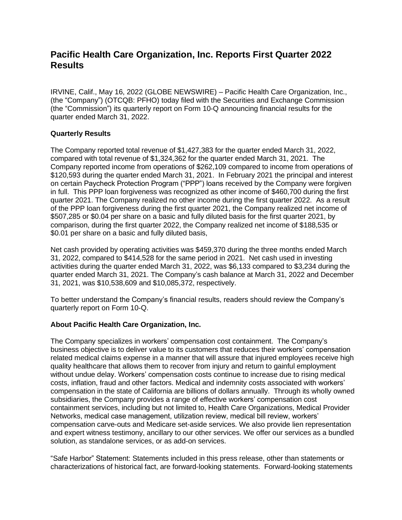## **Pacific Health Care Organization, Inc. Reports First Quarter 2022 Results**

IRVINE, Calif., May 16, 2022 (GLOBE NEWSWIRE) – Pacific Health Care Organization, Inc., (the "Company") (OTCQB: PFHO) today filed with the Securities and Exchange Commission (the "Commission") its quarterly report on Form 10-Q announcing financial results for the quarter ended March 31, 2022.

## **Quarterly Results**

The Company reported total revenue of \$1,427,383 for the quarter ended March 31, 2022, compared with total revenue of \$1,324,362 for the quarter ended March 31, 2021. The Company reported income from operations of \$262,109 compared to income from operations of \$120,593 during the quarter ended March 31, 2021. In February 2021 the principal and interest on certain Paycheck Protection Program ("PPP") loans received by the Company were forgiven in full. This PPP loan forgiveness was recognized as other income of \$460,700 during the first quarter 2021. The Company realized no other income during the first quarter 2022. As a result of the PPP loan forgiveness during the first quarter 2021, the Company realized net income of \$507,285 or \$0.04 per share on a basic and fully diluted basis for the first quarter 2021, by comparison, during the first quarter 2022, the Company realized net income of \$188,535 or \$0.01 per share on a basic and fully diluted basis,

Net cash provided by operating activities was \$459,370 during the three months ended March 31, 2022, compared to \$414,528 for the same period in 2021. Net cash used in investing activities during the quarter ended March 31, 2022, was \$6,133 compared to \$3,234 during the quarter ended March 31, 2021. The Company's cash balance at March 31, 2022 and December 31, 2021, was \$10,538,609 and \$10,085,372, respectively.

To better understand the Company's financial results, readers should review the Company's quarterly report on Form 10-Q.

## **About Pacific Health Care Organization, Inc.**

The Company specializes in workers' compensation cost containment. The Company's business objective is to deliver value to its customers that reduces their workers' compensation related medical claims expense in a manner that will assure that injured employees receive high quality healthcare that allows them to recover from injury and return to gainful employment without undue delay. Workers' compensation costs continue to increase due to rising medical costs, inflation, fraud and other factors. Medical and indemnity costs associated with workers' compensation in the state of California are billions of dollars annually. Through its wholly owned subsidiaries, the Company provides a range of effective workers' compensation cost containment services, including but not limited to, Health Care Organizations, Medical Provider Networks, medical case management, utilization review, medical bill review, workers' compensation carve-outs and Medicare set-aside services. We also provide lien representation and expert witness testimony, ancillary to our other services. We offer our services as a bundled solution, as standalone services, or as add-on services.

"Safe Harbor" Statement: Statements included in this press release, other than statements or characterizations of historical fact, are forward-looking statements. Forward-looking statements